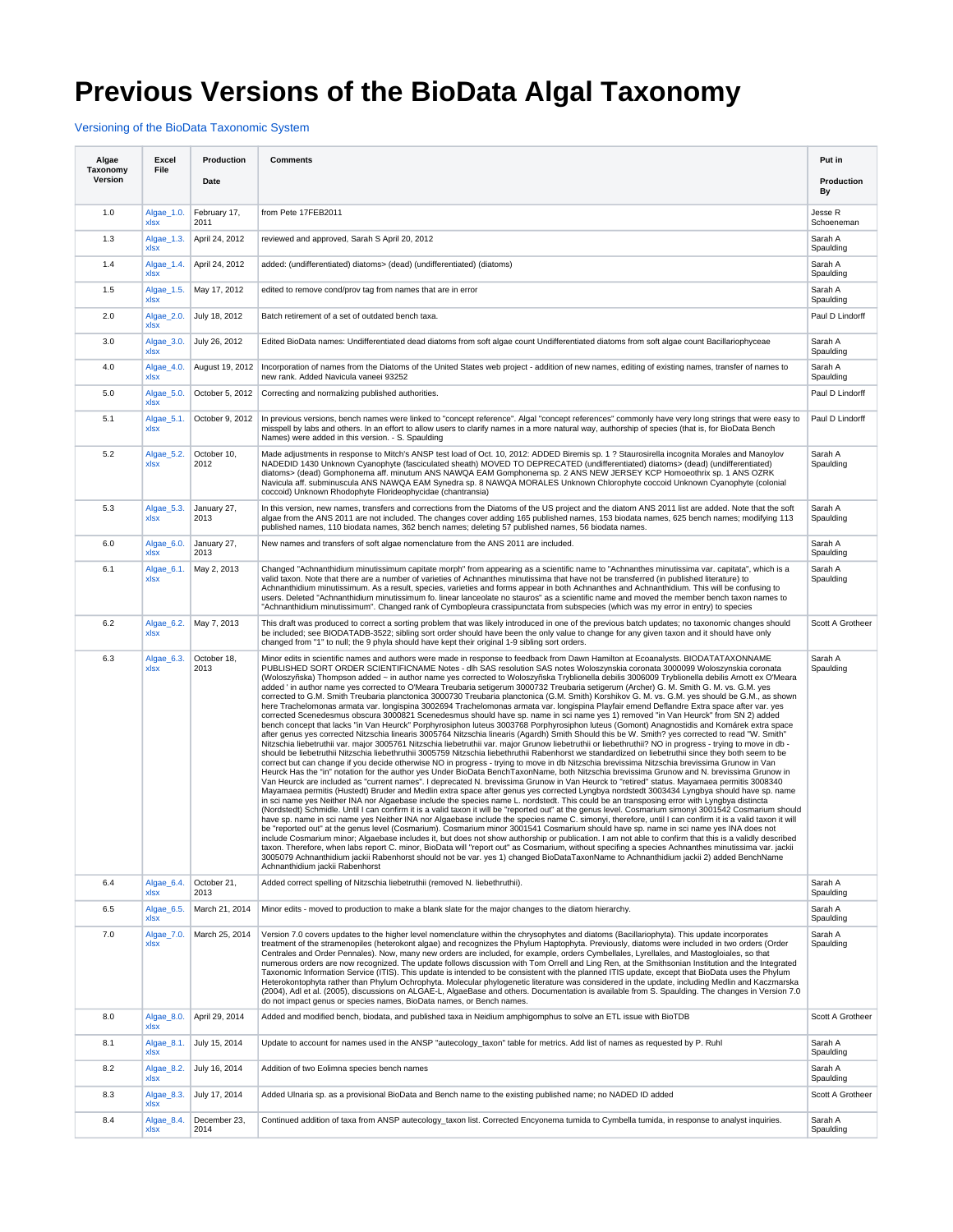## **Previous Versions of the BioData Algal Taxonomy**

[Versioning of the BioData Taxonomic System](https://my.usgs.gov/confluence/display/biodata/Versioning+of+the+BioData+Taxonomic+System)

| Algae<br>Taxonomy | Excel<br>File      | Production           | <b>Comments</b>                                                                                                                                                                                                                                                                                                                                                                                                                                                                                                                                                                                                                                                                                                                                                                                                                                                                                                                                                                                                                                                                                                                                                                                                                                                                                                                                                                                                                                                                                                                                                                                                                                                                                                                                                                                                                                                                                                                                                                                                                                                                                                                                                                                                                                                                                                                                                                                                                                                                                                                                                                                                                                                                                                                                                                                                                                                                                                                                                                                                                                                                                                                                                                                                                                                                                                                | Put in                |
|-------------------|--------------------|----------------------|--------------------------------------------------------------------------------------------------------------------------------------------------------------------------------------------------------------------------------------------------------------------------------------------------------------------------------------------------------------------------------------------------------------------------------------------------------------------------------------------------------------------------------------------------------------------------------------------------------------------------------------------------------------------------------------------------------------------------------------------------------------------------------------------------------------------------------------------------------------------------------------------------------------------------------------------------------------------------------------------------------------------------------------------------------------------------------------------------------------------------------------------------------------------------------------------------------------------------------------------------------------------------------------------------------------------------------------------------------------------------------------------------------------------------------------------------------------------------------------------------------------------------------------------------------------------------------------------------------------------------------------------------------------------------------------------------------------------------------------------------------------------------------------------------------------------------------------------------------------------------------------------------------------------------------------------------------------------------------------------------------------------------------------------------------------------------------------------------------------------------------------------------------------------------------------------------------------------------------------------------------------------------------------------------------------------------------------------------------------------------------------------------------------------------------------------------------------------------------------------------------------------------------------------------------------------------------------------------------------------------------------------------------------------------------------------------------------------------------------------------------------------------------------------------------------------------------------------------------------------------------------------------------------------------------------------------------------------------------------------------------------------------------------------------------------------------------------------------------------------------------------------------------------------------------------------------------------------------------------------------------------------------------------------------------------------------------|-----------------------|
| Version           |                    | Date                 |                                                                                                                                                                                                                                                                                                                                                                                                                                                                                                                                                                                                                                                                                                                                                                                                                                                                                                                                                                                                                                                                                                                                                                                                                                                                                                                                                                                                                                                                                                                                                                                                                                                                                                                                                                                                                                                                                                                                                                                                                                                                                                                                                                                                                                                                                                                                                                                                                                                                                                                                                                                                                                                                                                                                                                                                                                                                                                                                                                                                                                                                                                                                                                                                                                                                                                                                | Production<br>By      |
| 1.0               | Algae_1.0.<br>xlsx | February 17,<br>2011 | from Pete 17FEB2011                                                                                                                                                                                                                                                                                                                                                                                                                                                                                                                                                                                                                                                                                                                                                                                                                                                                                                                                                                                                                                                                                                                                                                                                                                                                                                                                                                                                                                                                                                                                                                                                                                                                                                                                                                                                                                                                                                                                                                                                                                                                                                                                                                                                                                                                                                                                                                                                                                                                                                                                                                                                                                                                                                                                                                                                                                                                                                                                                                                                                                                                                                                                                                                                                                                                                                            | Jesse R<br>Schoeneman |
| 1.3               | Algae_1.3.<br>xlsx | April 24, 2012       | reviewed and approved, Sarah S April 20, 2012                                                                                                                                                                                                                                                                                                                                                                                                                                                                                                                                                                                                                                                                                                                                                                                                                                                                                                                                                                                                                                                                                                                                                                                                                                                                                                                                                                                                                                                                                                                                                                                                                                                                                                                                                                                                                                                                                                                                                                                                                                                                                                                                                                                                                                                                                                                                                                                                                                                                                                                                                                                                                                                                                                                                                                                                                                                                                                                                                                                                                                                                                                                                                                                                                                                                                  | Sarah A<br>Spaulding  |
| 1.4               | Algae_1.4.<br>xlsx | April 24, 2012       | added: (undifferentiated) diatoms> (dead) (undifferentiated) (diatoms)                                                                                                                                                                                                                                                                                                                                                                                                                                                                                                                                                                                                                                                                                                                                                                                                                                                                                                                                                                                                                                                                                                                                                                                                                                                                                                                                                                                                                                                                                                                                                                                                                                                                                                                                                                                                                                                                                                                                                                                                                                                                                                                                                                                                                                                                                                                                                                                                                                                                                                                                                                                                                                                                                                                                                                                                                                                                                                                                                                                                                                                                                                                                                                                                                                                         | Sarah A<br>Spaulding  |
| 1.5               | Algae_1.5.<br>xlsx | May 17, 2012         | edited to remove cond/prov tag from names that are in error                                                                                                                                                                                                                                                                                                                                                                                                                                                                                                                                                                                                                                                                                                                                                                                                                                                                                                                                                                                                                                                                                                                                                                                                                                                                                                                                                                                                                                                                                                                                                                                                                                                                                                                                                                                                                                                                                                                                                                                                                                                                                                                                                                                                                                                                                                                                                                                                                                                                                                                                                                                                                                                                                                                                                                                                                                                                                                                                                                                                                                                                                                                                                                                                                                                                    | Sarah A<br>Spaulding  |
| 2.0               | Algae_2.0.<br>xlsx | July 18, 2012        | Batch retirement of a set of outdated bench taxa.                                                                                                                                                                                                                                                                                                                                                                                                                                                                                                                                                                                                                                                                                                                                                                                                                                                                                                                                                                                                                                                                                                                                                                                                                                                                                                                                                                                                                                                                                                                                                                                                                                                                                                                                                                                                                                                                                                                                                                                                                                                                                                                                                                                                                                                                                                                                                                                                                                                                                                                                                                                                                                                                                                                                                                                                                                                                                                                                                                                                                                                                                                                                                                                                                                                                              | Paul D Lindorff       |
| 3.0               | Algae_3.0.<br>xlsx | July 26, 2012        | Edited BioData names: Undifferentiated dead diatoms from soft algae count Undifferentiated diatoms from soft algae count Bacillariophyceae                                                                                                                                                                                                                                                                                                                                                                                                                                                                                                                                                                                                                                                                                                                                                                                                                                                                                                                                                                                                                                                                                                                                                                                                                                                                                                                                                                                                                                                                                                                                                                                                                                                                                                                                                                                                                                                                                                                                                                                                                                                                                                                                                                                                                                                                                                                                                                                                                                                                                                                                                                                                                                                                                                                                                                                                                                                                                                                                                                                                                                                                                                                                                                                     | Sarah A<br>Spaulding  |
| 4.0               | Algae_4.0.<br>xlsx | August 19, 2012      | Incorporation of names from the Diatoms of the United States web project - addition of new names, editing of existing names, transfer of names to<br>new rank. Added Navicula vaneei 93252                                                                                                                                                                                                                                                                                                                                                                                                                                                                                                                                                                                                                                                                                                                                                                                                                                                                                                                                                                                                                                                                                                                                                                                                                                                                                                                                                                                                                                                                                                                                                                                                                                                                                                                                                                                                                                                                                                                                                                                                                                                                                                                                                                                                                                                                                                                                                                                                                                                                                                                                                                                                                                                                                                                                                                                                                                                                                                                                                                                                                                                                                                                                     | Sarah A<br>Spaulding  |
| 5.0               | Algae_5.0.<br>xlsx | October 5, 2012      | Correcting and normalizing published authorities.                                                                                                                                                                                                                                                                                                                                                                                                                                                                                                                                                                                                                                                                                                                                                                                                                                                                                                                                                                                                                                                                                                                                                                                                                                                                                                                                                                                                                                                                                                                                                                                                                                                                                                                                                                                                                                                                                                                                                                                                                                                                                                                                                                                                                                                                                                                                                                                                                                                                                                                                                                                                                                                                                                                                                                                                                                                                                                                                                                                                                                                                                                                                                                                                                                                                              | Paul D Lindorff       |
| 5.1               | Algae_5.1.<br>xlsx | October 9, 2012      | In previous versions, bench names were linked to "concept reference". Algal "concept references" commonly have very long strings that were easy to<br>misspell by labs and others. In an effort to allow users to clarify names in a more natural way, authorship of species (that is, for BioData Bench<br>Names) were added in this version. - S. Spaulding                                                                                                                                                                                                                                                                                                                                                                                                                                                                                                                                                                                                                                                                                                                                                                                                                                                                                                                                                                                                                                                                                                                                                                                                                                                                                                                                                                                                                                                                                                                                                                                                                                                                                                                                                                                                                                                                                                                                                                                                                                                                                                                                                                                                                                                                                                                                                                                                                                                                                                                                                                                                                                                                                                                                                                                                                                                                                                                                                                  | Paul D Lindorff       |
| 5.2               | Algae_5.2.<br>xlsx | October 10.<br>2012  | Made adjustments in response to Mitch's ANSP test load of Oct. 10, 2012: ADDED Biremis sp. 1 ? Staurosirella incognita Morales and Manoylov<br>NADEDID 1430 Unknown Cyanophyte (fasciculated sheath) MOVED TO DEPRECATED (undifferentiated) diatoms> (dead) (undifferentiated)<br>diatoms> (dead) Gomphonema aff. minutum ANS NAWQA EAM Gomphonema sp. 2 ANS NEW JERSEY KCP Homoeothrix sp. 1 ANS OZRK<br>Navicula aff. subminuscula ANS NAWQA EAM Synedra sp. 8 NAWQA MORALES Unknown Chlorophyte coccoid Unknown Cyanophyte (colonial<br>coccoid) Unknown Rhodophyte Florideophycidae (chantransia)                                                                                                                                                                                                                                                                                                                                                                                                                                                                                                                                                                                                                                                                                                                                                                                                                                                                                                                                                                                                                                                                                                                                                                                                                                                                                                                                                                                                                                                                                                                                                                                                                                                                                                                                                                                                                                                                                                                                                                                                                                                                                                                                                                                                                                                                                                                                                                                                                                                                                                                                                                                                                                                                                                                          | Sarah A<br>Spaulding  |
| 5.3               | Algae 5.3.<br>xlsx | January 27,<br>2013  | In this version, new names, transfers and corrections from the Diatoms of the US project and the diatom ANS 2011 list are added. Note that the soft<br>algae from the ANS 2011 are not included. The changes cover adding 165 published names, 153 biodata names, 625 bench names; modifying 113<br>published names, 110 biodata names, 362 bench names; deleting 57 published names, 56 biodata names.                                                                                                                                                                                                                                                                                                                                                                                                                                                                                                                                                                                                                                                                                                                                                                                                                                                                                                                                                                                                                                                                                                                                                                                                                                                                                                                                                                                                                                                                                                                                                                                                                                                                                                                                                                                                                                                                                                                                                                                                                                                                                                                                                                                                                                                                                                                                                                                                                                                                                                                                                                                                                                                                                                                                                                                                                                                                                                                        | Sarah A<br>Spaulding  |
| 6.0               | Algae_6.0.<br>xlsx | January 27,<br>2013  | New names and transfers of soft algae nomenclature from the ANS 2011 are included.                                                                                                                                                                                                                                                                                                                                                                                                                                                                                                                                                                                                                                                                                                                                                                                                                                                                                                                                                                                                                                                                                                                                                                                                                                                                                                                                                                                                                                                                                                                                                                                                                                                                                                                                                                                                                                                                                                                                                                                                                                                                                                                                                                                                                                                                                                                                                                                                                                                                                                                                                                                                                                                                                                                                                                                                                                                                                                                                                                                                                                                                                                                                                                                                                                             | Sarah A<br>Spaulding  |
| 6.1               | Algae_6.1.<br>xlsx | May 2, 2013          | Changed "Achnanthidium minutissimum capitate morph" from appearing as a scientific name to "Achnanthes minutissima var. capitata", which is a<br>valid taxon. Note that there are a number of varieties of Achnanthes minutissima that have not be transferred (in published literature) to<br>Achnanthidium minutissimum. As a result, species, varieties and forms appear in both Achnanthes and Achnanthidium. This will be confusing to<br>users. Deleted "Achnanthidium minutissimum fo. linear lanceolate no stauros" as a scientific name and moved the member bench taxon names to<br>"Achnanthidium minutissimum". Changed rank of Cymbopleura crassipunctata from subspecies (which was my error in entry) to species                                                                                                                                                                                                                                                                                                                                                                                                                                                                                                                                                                                                                                                                                                                                                                                                                                                                                                                                                                                                                                                                                                                                                                                                                                                                                                                                                                                                                                                                                                                                                                                                                                                                                                                                                                                                                                                                                                                                                                                                                                                                                                                                                                                                                                                                                                                                                                                                                                                                                                                                                                                                | Sarah A<br>Spaulding  |
| 6.2               | Algae_6.2.<br>xlsx | May 7, 2013          | This draft was produced to correct a sorting problem that was likely introduced in one of the previous batch updates; no taxonomic changes should<br>be included; see BIODATADB-3522; sibling sort order should have been the only value to change for any given taxon and it should have only<br>changed from "1" to null; the 9 phyla should have kept their original 1-9 sibling sort orders.                                                                                                                                                                                                                                                                                                                                                                                                                                                                                                                                                                                                                                                                                                                                                                                                                                                                                                                                                                                                                                                                                                                                                                                                                                                                                                                                                                                                                                                                                                                                                                                                                                                                                                                                                                                                                                                                                                                                                                                                                                                                                                                                                                                                                                                                                                                                                                                                                                                                                                                                                                                                                                                                                                                                                                                                                                                                                                                               | Scott A Grotheer      |
| 6.3               | Algae_6.3.<br>xlsx | October 18,<br>2013  | Minor edits in scientific names and authors were made in response to feedback from Dawn Hamilton at Ecoanalysts. BIODATATAXONNAME<br>PUBLISHED SORT ORDER SCIENTIFICNAME Notes - dlh SAS resolution SAS notes Woloszynskia coronata 3000099 Woloszynskia coronata<br>(Woloszyñska) Thompson added ~ in author name yes corrected to Woloszyñska Tryblionella debilis 3006009 Tryblionella debilis Arnott ex O'Meara<br>added ' in author name yes corrected to O'Meara Treubaria setigerum 3000732 Treubaria setigerum (Archer) G. M. Smith G. M. vs. G.M. yes<br>corrected to G.M. Smith Treubaria planctonica 3000730 Treubaria planctonica (G.M. Smith) Korshikov G. M. vs. G.M. yes should be G.M., as shown<br>here Trachelomonas armata var. longispina 3002694 Trachelomonas armata var. longispina Playfair emend Deflandre Extra space after var. yes<br>corrected Scenedesmus obscura 3000821 Scenedesmus should have sp. name in sci name yes 1) removed "in Van Heurck" from SN 2) added<br>bench concept that lacks "in Van Heurck" Porphyrosiphon luteus 3003768 Porphyrosiphon luteus (Gomont) Anagnostidis and Komárek extra space<br>after genus yes corrected Nitzschia linearis 3005764 Nitzschia linearis (Agardh) Smith Should this be W. Smith? yes corrected to read "W. Smith"<br>Nitzschia liebetruthii var. major 3005761 Nitzschia liebetruthii var. major Grunow liebetruthii or liebethruthii? NO in progress - trying to move in db -<br>should be liebetruthii Nitzschia liebethruthii 3005759 Nitzschia liebethruthii Rabenhorst we standardized on liebetruthii since they both seem to be<br>correct but can change if you decide otherwise NO in progress - trying to move in db Nitzschia brevissima Nitzschia brevissima Grunow in Van<br>Heurck Has the "in" notation for the author yes Under BioData BenchTaxonName, both Nitzschia brevissima Grunow and N. brevissima Grunow in<br>Van Heurck are included as "current names". I deprecated N. brevissima Grunow in Van Heurck to "retired" status. Mayamaea permitis 3008340<br>Mayamaea permitis (Hustedt) Bruder and Medlin extra space after genus yes corrected Lyngbya nordstedt 3003434 Lyngbya should have sp. name<br>in sci name yes Neither INA nor Algaebase include the species name L. nordstedt. This could be an transposing error with Lyngbya distincta<br>(Nordstedt) Schmidle. Until I can confirm it is a valid taxon it will be "reported out" at the genus level. Cosmarium simonyi 3001542 Cosmarium should<br>have sp. name in sci name yes Neither INA nor Algaebase include the species name C. simonyi, therefore, until I can confirm it is a valid taxon it will<br>be "reported out" at the genus level (Cosmarium). Cosmarium minor 3001541 Cosmarium should have sp. name in sci name yes INA does not<br>include Cosmarium minor; Algaebase includes it, but does not show authorship or publication. I am not able to confirm that this is a validly described<br>taxon. Therefore, when labs report C. minor, BioData will "report out" as Cosmarium, without specifing a species Achnanthes minutissima var. jackii<br>3005079 Achnanthidium jackii Rabenhorst should not be var. yes 1) changed BioDataTaxonName to Achnanthidium jackii 2) added BenchName<br>Achnanthidium jackii Rabenhorst | Sarah A<br>Spaulding  |
| 6.4               | Algae_6.4.<br>xlsx | October 21.<br>2013  | Added correct spelling of Nitzschia liebetruthii (removed N. liebethruthii).                                                                                                                                                                                                                                                                                                                                                                                                                                                                                                                                                                                                                                                                                                                                                                                                                                                                                                                                                                                                                                                                                                                                                                                                                                                                                                                                                                                                                                                                                                                                                                                                                                                                                                                                                                                                                                                                                                                                                                                                                                                                                                                                                                                                                                                                                                                                                                                                                                                                                                                                                                                                                                                                                                                                                                                                                                                                                                                                                                                                                                                                                                                                                                                                                                                   | Sarah A<br>Spaulding  |
| 6.5               | Algae_6.5.<br>xlsx | March 21, 2014       | Minor edits - moved to production to make a blank slate for the major changes to the diatom hierarchy.                                                                                                                                                                                                                                                                                                                                                                                                                                                                                                                                                                                                                                                                                                                                                                                                                                                                                                                                                                                                                                                                                                                                                                                                                                                                                                                                                                                                                                                                                                                                                                                                                                                                                                                                                                                                                                                                                                                                                                                                                                                                                                                                                                                                                                                                                                                                                                                                                                                                                                                                                                                                                                                                                                                                                                                                                                                                                                                                                                                                                                                                                                                                                                                                                         | Sarah A<br>Spaulding  |
| 7.0               | Algae 7.0.<br>xlsx | March 25, 2014       | Version 7.0 covers updates to the higher level nomenclature within the chrysophytes and diatoms (Bacillariophyta). This update incorporates<br>treatment of the stramenopiles (heterokont algae) and recognizes the Phylum Haptophyta. Previously, diatoms were included in two orders (Order<br>Centrales and Order Pennales). Now, many new orders are included, for example, orders Cymbellales, Lyrellales, and Mastogloiales, so that<br>numerous orders are now recognized. The update follows discussion with Tom Orrell and Ling Ren, at the Smithsonian Institution and the Integrated<br>Taxonomic Information Service (ITIS). This update is intended to be consistent with the planned ITIS update, except that BioData uses the Phylum<br>Heterokontophyta rather than Phylum Ochrophyta. Molecular phylogenetic literature was considered in the update, including Medlin and Kaczmarska<br>(2004), Adl et al. (2005), discussions on ALGAE-L, AlgaeBase and others. Documentation is available from S. Spaulding. The changes in Version 7.0<br>do not impact genus or species names, BioData names, or Bench names.                                                                                                                                                                                                                                                                                                                                                                                                                                                                                                                                                                                                                                                                                                                                                                                                                                                                                                                                                                                                                                                                                                                                                                                                                                                                                                                                                                                                                                                                                                                                                                                                                                                                                                                                                                                                                                                                                                                                                                                                                                                                                                                                                                                            | Sarah A<br>Spaulding  |
| 8.0               | Algae_8.0.<br>xlsx | April 29, 2014       | Added and modified bench, biodata, and published taxa in Neidium amphigomphus to solve an ETL issue with BioTDB                                                                                                                                                                                                                                                                                                                                                                                                                                                                                                                                                                                                                                                                                                                                                                                                                                                                                                                                                                                                                                                                                                                                                                                                                                                                                                                                                                                                                                                                                                                                                                                                                                                                                                                                                                                                                                                                                                                                                                                                                                                                                                                                                                                                                                                                                                                                                                                                                                                                                                                                                                                                                                                                                                                                                                                                                                                                                                                                                                                                                                                                                                                                                                                                                | Scott A Grotheer      |
| 8.1               | Algae_8.1.<br>xlsx | July 15, 2014        | Update to account for names used in the ANSP "autecology_taxon" table for metrics. Add list of names as requested by P. Ruhl                                                                                                                                                                                                                                                                                                                                                                                                                                                                                                                                                                                                                                                                                                                                                                                                                                                                                                                                                                                                                                                                                                                                                                                                                                                                                                                                                                                                                                                                                                                                                                                                                                                                                                                                                                                                                                                                                                                                                                                                                                                                                                                                                                                                                                                                                                                                                                                                                                                                                                                                                                                                                                                                                                                                                                                                                                                                                                                                                                                                                                                                                                                                                                                                   | Sarah A<br>Spaulding  |
| 8.2               | Algae_8.2.<br>xlsx | July 16, 2014        | Addition of two Eolimna species bench names                                                                                                                                                                                                                                                                                                                                                                                                                                                                                                                                                                                                                                                                                                                                                                                                                                                                                                                                                                                                                                                                                                                                                                                                                                                                                                                                                                                                                                                                                                                                                                                                                                                                                                                                                                                                                                                                                                                                                                                                                                                                                                                                                                                                                                                                                                                                                                                                                                                                                                                                                                                                                                                                                                                                                                                                                                                                                                                                                                                                                                                                                                                                                                                                                                                                                    | Sarah A<br>Spaulding  |
| 8.3               | Algae_8.3.<br>xlsx | July 17, 2014        | Added Ulnaria sp. as a provisional BioData and Bench name to the existing published name; no NADED ID added                                                                                                                                                                                                                                                                                                                                                                                                                                                                                                                                                                                                                                                                                                                                                                                                                                                                                                                                                                                                                                                                                                                                                                                                                                                                                                                                                                                                                                                                                                                                                                                                                                                                                                                                                                                                                                                                                                                                                                                                                                                                                                                                                                                                                                                                                                                                                                                                                                                                                                                                                                                                                                                                                                                                                                                                                                                                                                                                                                                                                                                                                                                                                                                                                    | Scott A Grotheer      |
| 8.4               | Algae_8.4.<br>xlsx | December 23,<br>2014 | Continued addition of taxa from ANSP autecology_taxon list. Corrected Encyonema tumida to Cymbella tumida, in response to analyst inquiries.                                                                                                                                                                                                                                                                                                                                                                                                                                                                                                                                                                                                                                                                                                                                                                                                                                                                                                                                                                                                                                                                                                                                                                                                                                                                                                                                                                                                                                                                                                                                                                                                                                                                                                                                                                                                                                                                                                                                                                                                                                                                                                                                                                                                                                                                                                                                                                                                                                                                                                                                                                                                                                                                                                                                                                                                                                                                                                                                                                                                                                                                                                                                                                                   | Sarah A<br>Spaulding  |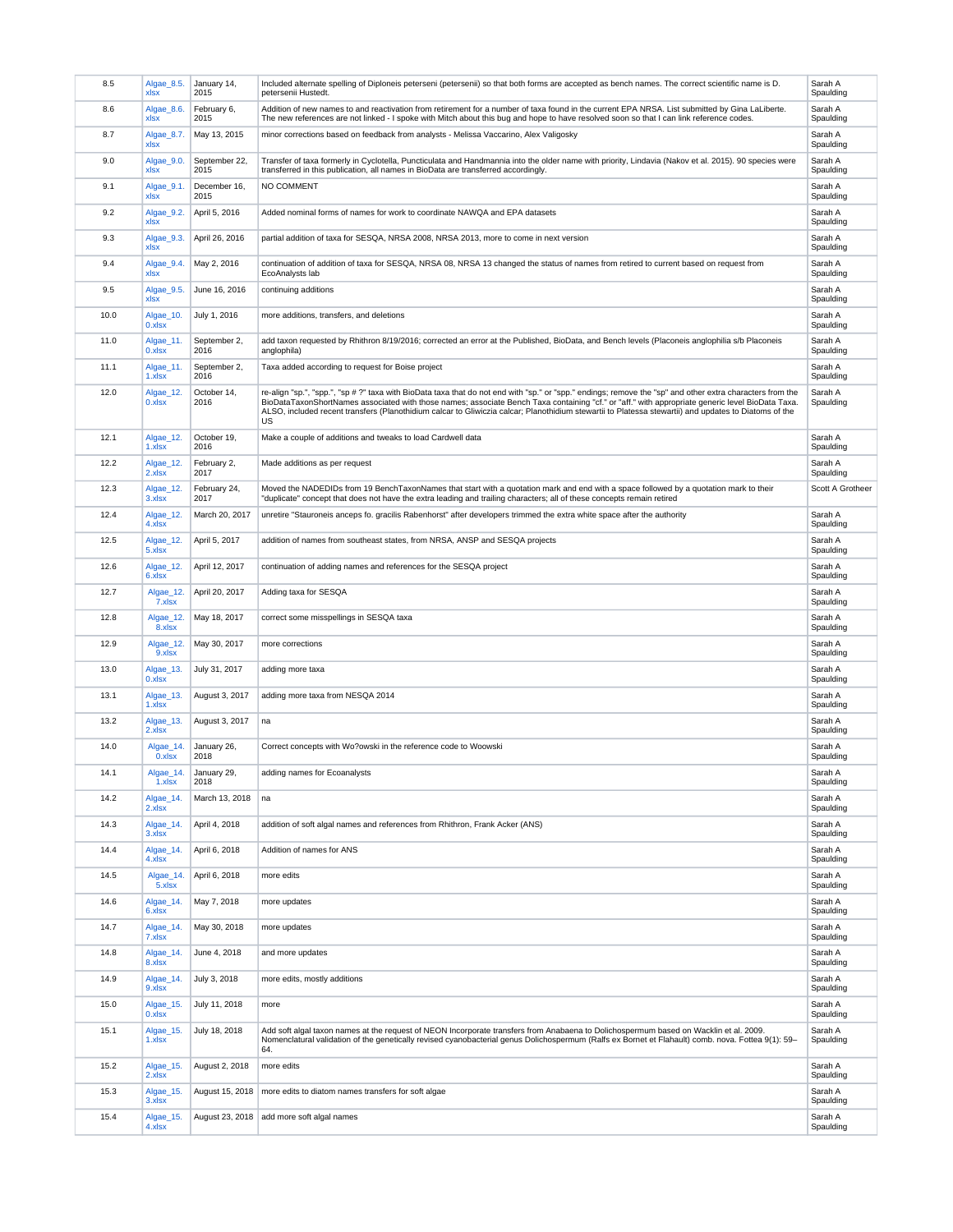| 8.5  | Algae_8.5.<br>xlsx  | January 14,<br>2015   | Included alternate spelling of Diploneis peterseni (petersenii) so that both forms are accepted as bench names. The correct scientific name is D.<br>petersenii Hustedt.                                                                                                                                                                                                                                                                                                     | Sarah A<br>Spaulding |
|------|---------------------|-----------------------|------------------------------------------------------------------------------------------------------------------------------------------------------------------------------------------------------------------------------------------------------------------------------------------------------------------------------------------------------------------------------------------------------------------------------------------------------------------------------|----------------------|
| 8.6  | Algae_8.6.<br>xlsx  | February 6,<br>2015   | Addition of new names to and reactivation from retirement for a number of taxa found in the current EPA NRSA. List submitted by Gina LaLiberte.<br>The new references are not linked - I spoke with Mitch about this bug and hope to have resolved soon so that I can link reference codes.                                                                                                                                                                                  | Sarah A<br>Spaulding |
| 8.7  | Algae_8.7.<br>xlsx  | May 13, 2015          | minor corrections based on feedback from analysts - Melissa Vaccarino, Alex Valigosky                                                                                                                                                                                                                                                                                                                                                                                        | Sarah A<br>Spaulding |
| 9.0  | Algae_9.0.<br>xlsx  | September 22,<br>2015 | Transfer of taxa formerly in Cyclotella, Puncticulata and Handmannia into the older name with priority, Lindavia (Nakov et al. 2015). 90 species were<br>transferred in this publication, all names in BioData are transferred accordingly.                                                                                                                                                                                                                                  | Sarah A<br>Spaulding |
| 9.1  | Algae_9.1.<br>xlsx  | December 16,<br>2015  | NO COMMENT                                                                                                                                                                                                                                                                                                                                                                                                                                                                   | Sarah A<br>Spaulding |
| 9.2  | Algae_9.2.<br>xlsx  | April 5, 2016         | Added nominal forms of names for work to coordinate NAWQA and EPA datasets                                                                                                                                                                                                                                                                                                                                                                                                   | Sarah A<br>Spaulding |
| 9.3  | Algae 9.3.<br>xlsx  | April 26, 2016        | partial addition of taxa for SESQA, NRSA 2008, NRSA 2013, more to come in next version                                                                                                                                                                                                                                                                                                                                                                                       | Sarah A<br>Spaulding |
| 9.4  | Algae_9.4.<br>xlsx  | May 2, 2016           | continuation of addition of taxa for SESQA, NRSA 08, NRSA 13 changed the status of names from retired to current based on request from<br>EcoAnalysts lab                                                                                                                                                                                                                                                                                                                    | Sarah A<br>Spaulding |
| 9.5  | Algae 9.5.<br>xlsx  | June 16, 2016         | continuing additions                                                                                                                                                                                                                                                                                                                                                                                                                                                         | Sarah A<br>Spaulding |
| 10.0 | Algae_10.<br>0.xlsx | July 1, 2016          | more additions, transfers, and deletions                                                                                                                                                                                                                                                                                                                                                                                                                                     | Sarah A<br>Spaulding |
| 11.0 | Algae_11.<br>0.xlsx | September 2,<br>2016  | add taxon requested by Rhithron 8/19/2016; corrected an error at the Published, BioData, and Bench levels (Placoneis anglophilia s/b Placoneis<br>anglophila)                                                                                                                                                                                                                                                                                                                | Sarah A<br>Spaulding |
| 11.1 | Algae_11.<br>1.xlsx | September 2,<br>2016  | Taxa added according to request for Boise project                                                                                                                                                                                                                                                                                                                                                                                                                            | Sarah A<br>Spaulding |
| 12.0 | Algae_12.<br>0.xlsx | October 14,<br>2016   | re-align "sp.", "spp.", "sp # ?" taxa with BioData taxa that do not end with "sp." or "spp." endings; remove the "sp" and other extra characters from the<br>BioDataTaxonShortNames associated with those names; associate Bench Taxa containing "cf." or "aff." with appropriate generic level BioData Taxa.<br>ALSO, included recent transfers (Planothidium calcar to Gliwiczia calcar; Planothidium stewartii to Platessa stewartii) and updates to Diatoms of the<br>US | Sarah A<br>Spaulding |
| 12.1 | Algae_12.<br>1.xlsx | October 19,<br>2016   | Make a couple of additions and tweaks to load Cardwell data                                                                                                                                                                                                                                                                                                                                                                                                                  | Sarah A<br>Spaulding |
| 12.2 | Algae_12.<br>2.xlsx | February 2,<br>2017   | Made additions as per request                                                                                                                                                                                                                                                                                                                                                                                                                                                | Sarah A<br>Spaulding |
| 12.3 | Algae_12.<br>3.xlsx | February 24,<br>2017  | Moved the NADEDIDs from 19 BenchTaxonNames that start with a quotation mark and end with a space followed by a quotation mark to their<br>"duplicate" concept that does not have the extra leading and trailing characters; all of these concepts remain retired                                                                                                                                                                                                             | Scott A Grotheer     |
| 12.4 | Algae_12.<br>4.xlsx | March 20, 2017        | unretire "Stauroneis anceps fo. gracilis Rabenhorst" after developers trimmed the extra white space after the authority                                                                                                                                                                                                                                                                                                                                                      | Sarah A<br>Spaulding |
| 12.5 | Algae_12.<br>5.xlsx | April 5, 2017         | addition of names from southeast states, from NRSA, ANSP and SESQA projects                                                                                                                                                                                                                                                                                                                                                                                                  | Sarah A<br>Spaulding |
| 12.6 | Algae_12.<br>6.xlsx | April 12, 2017        | continuation of adding names and references for the SESQA project                                                                                                                                                                                                                                                                                                                                                                                                            | Sarah A<br>Spaulding |
| 12.7 | Algae_12.<br>7.xlsx | April 20, 2017        | Adding taxa for SESQA                                                                                                                                                                                                                                                                                                                                                                                                                                                        | Sarah A<br>Spaulding |
| 12.8 | Algae_12.<br>8.xlsx | May 18, 2017          | correct some misspellings in SESQA taxa                                                                                                                                                                                                                                                                                                                                                                                                                                      | Sarah A<br>Spaulding |
| 12.9 | Algae_12.<br>9.xlsx | May 30, 2017          | more corrections                                                                                                                                                                                                                                                                                                                                                                                                                                                             | Sarah A<br>Spaulding |
| 13.0 | Algae_13.<br>0.xlsx | July 31, 2017         | adding more taxa                                                                                                                                                                                                                                                                                                                                                                                                                                                             | Sarah A<br>Spaulding |
| 13.1 | Algae_13.<br>1.xlsx | August 3, 2017        | adding more taxa from NESQA 2014                                                                                                                                                                                                                                                                                                                                                                                                                                             | Sarah A<br>Spaulding |
| 13.2 | Algae_13.<br>2.xlsx | August 3, 2017        | na                                                                                                                                                                                                                                                                                                                                                                                                                                                                           | Sarah A<br>Spaulding |
| 14.0 | Algae_14.<br>0.xlsx | January 26,<br>2018   | Correct concepts with Wo?owski in the reference code to Woowski                                                                                                                                                                                                                                                                                                                                                                                                              | Sarah A<br>Spaulding |
| 14.1 | Algae 14.<br>1.xlsx | January 29,<br>2018   | adding names for Ecoanalysts                                                                                                                                                                                                                                                                                                                                                                                                                                                 | Sarah A<br>Spaulding |
| 14.2 | Algae 14.<br>2.xlsx | March 13, 2018        | na                                                                                                                                                                                                                                                                                                                                                                                                                                                                           | Sarah A<br>Spaulding |
| 14.3 | Algae_14.<br>3.xlsx | April 4, 2018         | addition of soft algal names and references from Rhithron, Frank Acker (ANS)                                                                                                                                                                                                                                                                                                                                                                                                 | Sarah A<br>Spaulding |
| 14.4 | Algae_14.<br>4.xlsx | April 6, 2018         | Addition of names for ANS                                                                                                                                                                                                                                                                                                                                                                                                                                                    | Sarah A<br>Spaulding |
| 14.5 | Algae_14.<br>5.xlsx | April 6, 2018         | more edits                                                                                                                                                                                                                                                                                                                                                                                                                                                                   | Sarah A<br>Spaulding |
| 14.6 | Algae_14.<br>6.xlsx | May 7, 2018           | more updates                                                                                                                                                                                                                                                                                                                                                                                                                                                                 | Sarah A<br>Spaulding |
| 14.7 | Algae_14.<br>7.xlsx | May 30, 2018          | more updates                                                                                                                                                                                                                                                                                                                                                                                                                                                                 | Sarah A<br>Spaulding |
| 14.8 | Algae_14.<br>8.xlsx | June 4, 2018          | and more updates                                                                                                                                                                                                                                                                                                                                                                                                                                                             | Sarah A<br>Spaulding |
| 14.9 | Algae_14.<br>9.xlsx | July 3, 2018          | more edits, mostly additions                                                                                                                                                                                                                                                                                                                                                                                                                                                 | Sarah A<br>Spaulding |
| 15.0 | Algae_15.<br>0.xlsx | July 11, 2018         | more                                                                                                                                                                                                                                                                                                                                                                                                                                                                         | Sarah A<br>Spaulding |
| 15.1 | Algae_15.<br>1.xlsx | July 18, 2018         | Add soft algal taxon names at the request of NEON Incorporate transfers from Anabaena to Dolichospermum based on Wacklin et al. 2009.<br>Nomenclatural validation of the genetically revised cyanobacterial genus Dolichospermum (Ralfs ex Bornet et Flahault) comb. nova. Fottea 9(1): 59-<br>64.                                                                                                                                                                           | Sarah A<br>Spaulding |
| 15.2 | Algae_15.<br>2.xlsx | August 2, 2018        | more edits                                                                                                                                                                                                                                                                                                                                                                                                                                                                   | Sarah A<br>Spaulding |
| 15.3 | Algae_15.<br>3.xlsx | August 15, 2018       | more edits to diatom names transfers for soft algae                                                                                                                                                                                                                                                                                                                                                                                                                          | Sarah A<br>Spaulding |
| 15.4 | Algae_15.<br>4.xlsx | August 23, 2018       | add more soft algal names                                                                                                                                                                                                                                                                                                                                                                                                                                                    | Sarah A<br>Spaulding |
|      |                     |                       |                                                                                                                                                                                                                                                                                                                                                                                                                                                                              |                      |